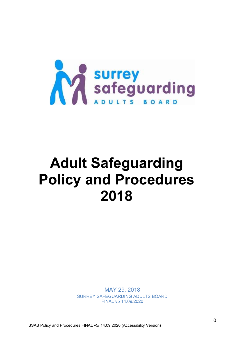

# **Adult Safeguarding Policy and Procedures 2018**

MAY 29, 2018 SURREY SAFEGUARDING ADULTS BOARD FINAL v5 14.09.2020

SSAB Policy and Procedures FINAL v5/ 14.09.2020 (Accessibility Version)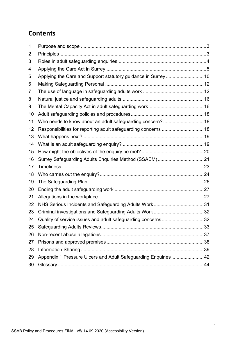# **Contents**

| 1  |                                                                |  |
|----|----------------------------------------------------------------|--|
| 2  |                                                                |  |
| 3  |                                                                |  |
| 4  |                                                                |  |
| 5  |                                                                |  |
| 6  |                                                                |  |
| 7  |                                                                |  |
| 8  |                                                                |  |
| 9  |                                                                |  |
| 10 |                                                                |  |
| 11 | Who needs to know about an adult safeguarding concern? 18      |  |
| 12 | Responsibilities for reporting adult safeguarding concerns  18 |  |
| 13 |                                                                |  |
| 14 |                                                                |  |
| 15 |                                                                |  |
| 16 | Surrey Safeguarding Adults Enquiries Method (SSAEM)21          |  |
| 17 |                                                                |  |
| 18 |                                                                |  |
| 19 |                                                                |  |
| 20 |                                                                |  |
| 21 |                                                                |  |
| 22 |                                                                |  |
| 23 |                                                                |  |
| 24 | Quality of service issues and adult safeguarding concerns32    |  |
| 25 |                                                                |  |
| 26 |                                                                |  |
| 27 |                                                                |  |
| 28 |                                                                |  |
| 29 | Appendix 1 Pressure Ulcers and Adult Safeguarding Enquiries42  |  |
| 30 |                                                                |  |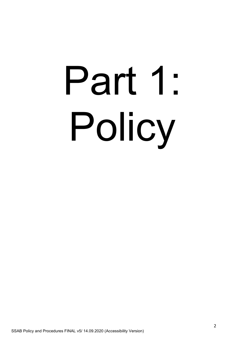# Part 1: Policy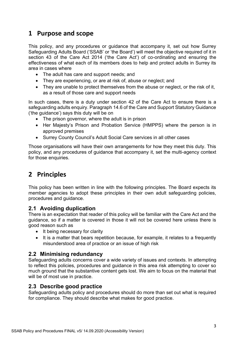# <span id="page-3-0"></span>**1 Purpose and scope**

This policy, and any procedures or guidance that accompany it, set out how Surrey Safeguarding Adults Board ('SSAB' or 'the Board') will meet the objective required of it in section 43 of the Care Act 2014 ('the Care Act') of co-ordinating and ensuring the effectiveness of what each of its members does to help and protect adults in Surrey its area in cases where

- The adult has care and support needs; and
- They are experiencing, or are at risk of, abuse or neglect; and
- They are unable to protect themselves from the abuse or neglect, or the risk of it, as a result of those care and support needs

In such cases, there is a duty under section 42 of the Care Act to ensure there is a safeguarding adults enquiry. Paragraph 14.6 of the Care and Support Statutory Guidance ('the guidance') says this duty will be on

- The prison governor, where the adult is in prison
- Her Majesty's Prison and Probation Service (HMPPS) where the person is in approved premises
- Surrey County Council's Adult Social Care services in all other cases

Those organisations will have their own arrangements for how they meet this duty. This policy, and any procedures of guidance that accompany it, set the multi-agency context for those enquiries.

# <span id="page-3-1"></span>**2 Principles**

This policy has been written in line with the following principles. The Board expects its member agencies to adopt these principles in their own adult safeguarding policies, procedures and guidance.

# **2.1 Avoiding duplication**

There is an expectation that reader of this policy will be familiar with the Care Act and the guidance, so if a matter is covered in those it will not be covered here unless there is good reason such as

- It being necessary for clarity
- It is a matter that bears repetition because, for example, it relates to a frequently misunderstood area of practice or an issue of high risk

### **2.2 Minimising redundancy**

Safeguarding adults concerns cover a wide variety of issues and contexts. In attempting to reflect this policies, procedures and guidance in this area risk attempting to cover so much ground that the substantive content gets lost. We aim to focus on the material that will be of most use in practice.

### **2.3 Describe good practice**

Safeguarding adults policy and procedures should do more than set out what is required for compliance. They should describe what makes for good practice.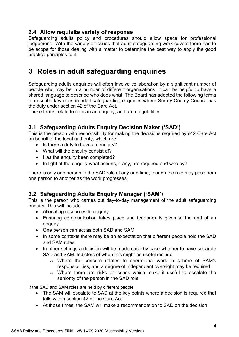# **2.4 Allow requisite variety of response**

Safeguarding adults policy and procedures should allow space for professional judgement. With the variety of issues that adult safeguarding work covers there has to be scope for those dealing with a matter to determine the best way to apply the good practice principles to it.

# <span id="page-4-0"></span>**3 Roles in adult safeguarding enquiries**

Safeguarding adults enquiries will often involve collaboration by a significant number of people who may be in a number of different organisations. It can be helpful to have a shared language to describe who does what. The Board has adopted the following terms to describe key roles in adult safeguarding enquiries where Surrey County Council has the duty under section 42 of the Care Act.

These terms relate to roles in an enquiry, and are not job titles.

# **3.1 Safeguarding Adults Enquiry Decision Maker ('SAD')**

This is the person with responsibility for making the decisions required by s42 Care Act on behalf of the local authority, which are

- Is there a duty to have an enquiry?
- What will the enquiry consist of?
- Has the enquiry been completed?
- In light of the enquiry what actions, if any, are required and who by?

There is only one person in the SAD role at any one time, though the role may pass from one person to another as the work progresses.

# **3.2 Safeguarding Adults Enquiry Manager ('SAM')**

This is the person who carries out day-to-day management of the adult safeguarding enquiry. This will include

- Allocating resources to enquiry
- Ensuring communication takes place and feedback is given at the end of an enquiry
- One person can act as both SAD and SAM
- In some contexts there may be an expectation that different people hold the SAD and SAM roles.
- In other settings a decision will be made case-by-case whether to have separate SAD and SAM. Indictors of when this might be useful include
	- o Where the concern relates to operational work in sphere of SAM's responsibilities, and a degree of independent oversight may be required
	- o Where there are risks or issues which make it useful to escalate the seniority of the person in the SAD role

If the SAD and SAM roles are held by different people

- The SAM will escalate to SAD at the key points where a decision is required that falls within section 42 of the Care Act
- At those times, the SAM will make a recommendation to SAD on the decision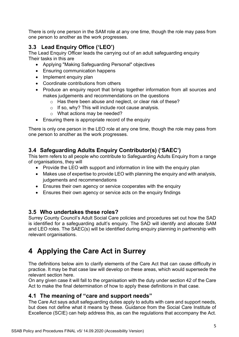There is only one person in the SAM role at any one time, though the role may pass from one person to another as the work progresses.

# **3.3 Lead Enquiry Office ('LEO')**

The Lead Enquiry Officer leads the carrying out of an adult safeguarding enquiry Their tasks in this are

- Applying "Making Safeguarding Personal" objectives
- Ensuring communication happens
- Implement enquiry plan
- Coordinate contributions from others
- Produce an enquiry report that brings together information from all sources and makes judgements and recommendations on the questions
	- o Has there been abuse and neglect, or clear risk of these?
	- o If so, why? This will include root cause analysis.
	- o What actions may be needed?
- Ensuring there is appropriate record of the enquiry

There is only one person in the LEO role at any one time, though the role may pass from one person to another as the work progresses.

# **3.4 Safeguarding Adults Enquiry Contributor(s) ('SAEC')**

This term refers to all people who contribute to Safeguarding Adults Enquiry from a range of organisations, they will

- Provide the LEO with support and information in line with the enquiry plan
- Makes use of expertise to provide LEO with planning the enquiry and with analysis, judgements and recommendations
- Ensures their own agency or service cooperates with the enquiry
- Ensures their own agency or service acts on the enquiry findings

# **3.5 Who undertakes these roles?**

Surrey County Council's Adult Social Care policies and procedures set out how the SAD is identified for a safeguarding adult's enquiry. The SAD will identify and allocate SAM and LEO roles. The SAEC(s) will be identified during enquiry planning in partnership with relevant organisations.

# <span id="page-5-0"></span>**4 Applying the Care Act in Surrey**

The definitions below aim to clarify elements of the Care Act that can cause difficulty in practice. It may be that case law will develop on these areas, which would supersede the relevant section here.

On any given case it will fall to the organisation with the duty under section 42 of the Care Act to make the final determination of how to apply these definitions in that case.

# **4.1 The meaning of "care and support needs"**

The Care Act says adult safeguarding duties apply to adults with care and support needs, but does not define what it means by these. Guidance from the Social Care Institute of Excellence (SCIE) can help address this, as can the regulations that accompany the Act.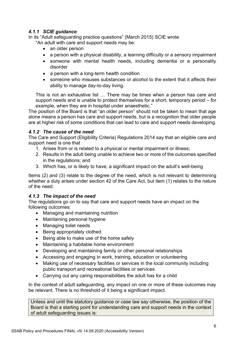### *4.1.1 SCIE guidance*

In its "Adult safeguarding practice questions" (March 2015) SCIE wrote "An adult with care and support needs may be:

- an older person
- a person with a physical disability, a learning difficulty or a sensory impairment
- someone with mental health needs, including dementia or a personality disorder
- a person with a long-term health condition
- someone who misuses substances or alcohol to the extent that it affects their ability to manage day-to-day living.

This is not an exhaustive list … There may be times when a person has care and support needs and is unable to protect themselves for a short, temporary period – for example, when they are in hospital under anaesthetic."

The position of the Board is that "an older person" should not be taken to mean that age alone means a person has care and support needs, but is a recognition that older people are at higher risk of some conditions that can lead to care and support needs developing.

### *4.1.2 The cause of the need*

The Care and Support (Eligibility Criteria) Regulations 2014 say that an eligible care and support need is one that

- 1. Arises from or is related to a physical or mental impairment or illness;
- 2. Results in the adult being unable to achieve two or more of the outcomes specified in the regulations; and
- 3. Which has, or is likely to have, a significant impact on the adult's well-being

Items (2) and (3) relate to the degree of the need, which is not relevant to determining whether a duty arises under section 42 of the Care Act, but item (1) relates to the nature of the need.

### *4.1.3 The impact of the need*

The regulations go on to say that care and support needs have an impact on the following outcomes:

- Managing and maintaining nutrition
- Maintaining personal hygiene
- Managing toilet needs
- Being appropriately clothed
- Being able to make use of the home safely
- Maintaining a habitable home environment
- Developing and maintaining family or other personal relationships
- Accessing and engaging in work, training, education or volunteering
- Making use of necessary facilities or services in the local community including public transport and recreational facilities or services
- Carrying out any caring responsibilities the adult has for a child

In the context of adult safeguarding, any impact on one or more of these outcomes may be relevant. There is no threshold of it being a significant impact.

Unless and until the statutory guidance or case law say otherwise, the position of the Board is that a starting point for understanding care and support needs in the context of adult safeguarding issues is: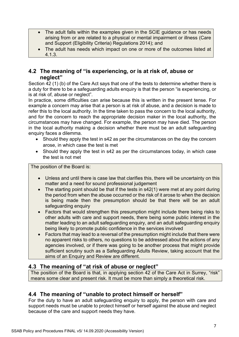- The adult falls within the examples given in the SCIE guidance or has needs arising from or are related to a physical or mental impairment or illness (Care and Support (Eligibility Criteria) Regulations 2014); and
- The adult has needs which impact on one or more of the outcomes listed at 4.1.3.

# **4.2 The meaning of "is experiencing, or is at risk of, abuse or neglect"**

Section 42 (1) (b) of the Care Act says that one of the tests to determine whether there is a duty for there to be a safeguarding adults enquiry is that the person "is experiencing, or is at risk of, abuse or neglect".

In practice, some difficulties can arise because this is written in the present tense. For example a concern may arise that a person is at risk of abuse, and a decision is made to refer this to the local authority. In the time taken to pass the concern to the local authority, and for the concern to reach the appropriate decision maker in the local authority, the circumstances may have changed. For example, the person may have died. The person in the local authority making a decision whether there must be an adult safeguarding enquiry faces a dilemma.

- Should they apply the test in s42 as per the circumstances on the day the concern arose, in which case the test is met
- Should they apply the test in s42 as per the circumstances today, in which case the test is not met

The position of the Board is:

- Unless and until there is case law that clarifies this, there will be uncertainty on this matter and a need for sound professional judgement
- The starting point should be that if the tests in s42(1) were met at any point during the period from when the abuse occurred or the risk of it arose to when the decision is being made then the presumption should be that there will be an adult safeguarding enquiry
- Factors that would strengthen this presumption might include there being risks to other adults with care and support needs, there being some public interest in the matter leading to an adult safeguarding enquiry, and an adult safeguarding enquiry being likely to promote public confidence in the services involved
- Factors that may lead to a reversal of the presumption might include that there were no apparent risks to others, no questions to be addressed about the actions of any agencies involved, or if there was going to be another process that might provide sufficient scrutiny such as a Safeguarding Adults Review, taking account that the aims of an Enquiry and Review are different.

# **4.3 The meaning of "at risk of abuse or neglect"**

The position of the Board is that, in applying section 42 of the Care Act in Surrey, "risk" means some clear and present risk. It must be more than simply a theoretical risk.

# **4.4 The meaning of "unable to protect himself or herself"**

For the duty to have an adult safeguarding enquiry to apply, the person with care and support needs must be unable to protect himself or herself against the abuse and neglect because of the care and support needs they have.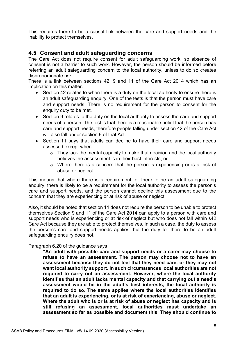This requires there to be a causal link between the care and support needs and the inability to protect themselves.

# **4.5 Consent and adult safeguarding concerns**

The Care Act does not require consent for adult safeguarding work, so absence of consent is not a barrier to such work. However, the person should be informed before referring an adult safeguarding concern to the local authority, unless to do so creates disproportionate risk.

There is a link between sections 42, 9 and 11 of the Care Act 2014 which has an implication on this matter.

- Section 42 relates to when there is a duty on the local authority to ensure there is an adult safeguarding enquiry. One of the tests is that the person must have care and support needs. There is no requirement for the person to consent for the enquiry duty to be met.
- Section 9 relates to the duty on the local authority to assess the care and support needs of a person. The test is that there is a reasonable belief that the person has care and support needs, therefore people falling under section 42 of the Care Act will also fall under section 9 of that Act.
- Section 11 says that adults can decline to have their care and support needs assessed except when
	- $\circ$  They lack the mental capacity to make that decision and the local authority believes the assessment is in their best interests; or
	- o Where there is a concern that the person is experiencing or is at risk of abuse or neglect

This means that where there is a requirement for there to be an adult safeguarding enquiry, there is likely to be a requirement for the local authority to assess the person's care and support needs, and the person cannot decline this assessment due to the concern that they are experiencing or at risk of abuse or neglect.

Also, it should be noted that section 11 does not require the person to be unable to protect themselves Section 9 and 11 of the Care Act 2014 can apply to a person with care and support needs who is experiencing or at risk of neglect but who does not fall within s42 Care Act because they are able to protect themselves. In such a case, the duty to assess the person's care and support needs applies, but the duty for there to be an adult safeguarding enquiry does not.

Paragraph 6.20 of the guidance says

**"An adult with possible care and support needs or a carer may choose to refuse to have an assessment. The person may choose not to have an assessment because they do not feel that they need care, or they may not want local authority support. In such circumstances local authorities are not required to carry out an assessment. However, where the local authority identifies that an adult lacks mental capacity and that carrying out a need's assessment would be in the adult's best interests, the local authority is required to do so. The same applies where the local authorities identifies that an adult is experiencing, or is at risk of experiencing, abuse or neglect. Where the adult who is or is at risk of abuse or neglect has capacity and is still refusing an assessment, local authorities must undertake an assessment so far as possible and document this. They should continue to**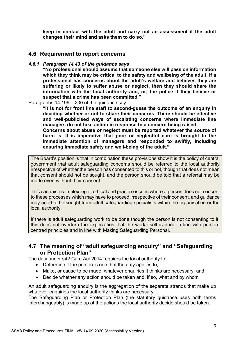**keep in contact with the adult and carry out an assessment if the adult changes their mind and asks them to do so."**

### **4.6 Requirement to report concerns**

### *4.6.1 Paragraph 14.43 of the guidance says*

**"No professional should assume that someone else will pass on information which they think may be critical to the safety and wellbeing of the adult. If a professional has concerns about the adult's welfare and believes they are suffering or likely to suffer abuse or neglect, then they should share the information with the local authority and, or, the police if they believe or suspect that a crime has been committed."**

Paragraphs 14.199 – 200 of the guidance say

**"It is not for front line staff to second-guess the outcome of an enquiry in deciding whether or not to share their concerns. There should be effective and well-publicised ways of escalating concerns where immediate line managers do not take action in response to a concern being raised.**

**Concerns about abuse or neglect must be reported whatever the source of harm is. It is imperative that poor or neglectful care is brought to the immediate attention of managers and responded to swiftly, including ensuring immediate safety and well-being of the adult."**

The Board's position is that in combination these provisions show it is the policy of central government that adult safeguarding concerns should be referred to the local authority irrespective of whether the person has consented to this or not, though that does not mean that consent should not be sought, and the person should be told that a referral may be made even without their consent.

This can raise complex legal, ethical and practice issues where a person does not consent to these processes which may have to proceed irrespective of their consent, and guidance may need to be sought from adult safeguarding specialists within the organisation or the local authority.

If there is adult safeguarding work to be done though the person is not consenting to it, this does not overturn the expectation that the work itself is done in line with personcentred principles and in line with Making Safeguarding Personal.

# **4.7 The meaning of "adult safeguarding enquiry" and "Safeguarding or Protection Plan"**

The duty under s42 Care Act 2014 requires the local authority to

- Determine if the person is one that the duty applies to;
- Make, or cause to be made, whatever enquiries it thinks are necessary; and
- Decide whether any action should be taken and, if so, what and by whom

An adult safeguarding enquiry is the aggregation of the separate strands that make up whatever enquiries the local authority thinks are necessary.

The Safeguarding Plan or Protection Plan (the statutory guidance uses both terms interchangeably) is made up of the actions the local authority decide should be taken.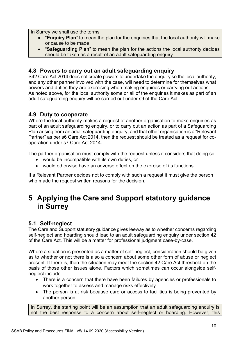In Surrey we shall use the terms

- "**Enquiry Plan**" to mean the plan for the enquiries that the local authority will make or cause to be made
- "**Safeguarding Plan**" to mean the plan for the actions the local authority decides should be taken as a result of an adult safeguarding enquiry

# **4.8 Powers to carry out an adult safeguarding enquiry**

S42 Care Act 2014 does not create powers to undertake the enquiry so the local authority, and any other partner involved with the case, will need to determine for themselves what powers and duties they are exercising when making enquiries or carrying out actions. As noted above, for the local authority some or all of the enquiries it makes as part of an adult safeguarding enquiry will be carried out under s9 of the Care Act.

# **4.9 Duty to cooperate**

Where the local authority makes a request of another organisation to make enquiries as part of an adult safeguarding enquiry, or to carry out an action as part of a Safeguarding Plan arising from an adult safeguarding enquiry, and that other organisation is a "Relevant Partner" as per s6 Care Act 2014, then the request should be treated as a request for cooperation under s7 Care Act 2014.

The partner organisation must comply with the request unless it considers that doing so

- would be incompatible with its own duties, or
- would otherwise have an adverse effect on the exercise of its functions.

If a Relevant Partner decides not to comply with such a request it must give the person who made the request written reasons for the decision.

# <span id="page-10-0"></span>**5 Applying the Care and Support statutory guidance in Surrey**

# **5.1 Self-neglect**

The Care and Support statutory guidance gives leeway as to whether concerns regarding self-neglect and hoarding should lead to an adult safeguarding enquiry under section 42 of the Care Act. This will be a matter for professional judgment case-by-case.

Where a situation is presented as a matter of self-neglect, consideration should be given as to whether or not there is also a concern about some other form of abuse or neglect present. If there is, then the situation may meet the section 42 Care Act threshold on the basis of those other issues alone. Factors which sometimes can occur alongside selfneglect include

- There is a concern that there have been failures by agencies or professionals to work together to assess and manage risks effectively
- The person is at risk because care or access to facilities is being prevented by another person

In Surrey, the starting point will be an assumption that an adult safeguarding enquiry is not the best response to a concern about self-neglect or hoarding. However, this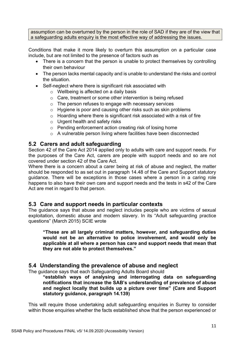assumption can be overturned by the person in the role of SAD if they are of the view that a safeguarding adults enquiry is the most effective way of addressing the issues.

Conditions that make it more likely to overturn this assumption on a particular case include, but are not limited to the presence of factors such as

- There is a concern that the person is unable to protect themselves by controlling their own behaviour
- The person lacks mental capacity and is unable to understand the risks and control the situation.
- Self-neglect where there is significant risk associated with
	- o Wellbeing is affected on a daily basis
	- o Care, treatment or some other intervention is being refused
	- o The person refuses to engage with necessary services
	- o Hygiene is poor and causing other risks such as skin problems
	- o Hoarding where there is significant risk associated with a risk of fire
	- o Urgent health and safety risks
	- o Pending enforcement action creating risk of losing home
	- o A vulnerable person living where facilities have been disconnected

### **5.2 Carers and adult safeguarding**

Section 42 of the Care Act 2014 applied only to adults with care and support needs. For the purposes of the Care Act, carers are people with support needs and so are not covered under section 42 of the Care Act.

Where there is a concern about a carer being at risk of abuse and neglect, the matter should be responded to as set out in paragraph 14.48 of the Care and Support statutory guidance. There will be exceptions in those cases where a person in a caring role happens to also have their own care and support needs and the tests in s42 of the Care Act are met in regard to that person.

### **5.3 Care and support needs in particular contexts**

The guidance says that abuse and neglect includes people who are victims of sexual exploitation, domestic abuse and modern slavery. In its "Adult safeguarding practice questions" (March 2015) SCIE wrote

**"These are all largely criminal matters, however, and safeguarding duties would not be an alternative to police involvement, and would only be applicable at all where a person has care and support needs that mean that they are not able to protect themselves."**

# **5.4 Understanding the prevalence of abuse and neglect**

The guidance says that each Safeguarding Adults Board should

**"establish ways of analysing and interrogating data on safeguarding notifications that increase the SAB's understanding of prevalence of abuse and neglect locally that builds up a picture over time" (Care and Support statutory guidance, paragraph 14.139)**

This will require those undertaking adult safeguarding enquiries in Surrey to consider within those enquiries whether the facts established show that the person experienced or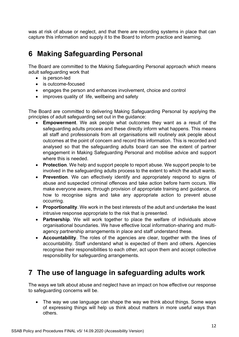was at risk of abuse or neglect, and that there are recording systems in place that can capture this information and supply it to the Board to inform practice and learning.

# <span id="page-12-0"></span>**6 Making Safeguarding Personal**

The Board are committed to the Making Safeguarding Personal approach which means adult safeguarding work that

- is person-led
- is outcome-focused
- engages the person and enhances involvement, choice and control
- improves quality of life, wellbeing and safety

The Board are committed to delivering Making Safeguarding Personal by applying the principles of adult safeguarding set out in the guidance:

- **Empowerment**. We ask people what outcomes they want as a result of the safeguarding adults process and these directly inform what happens. This means all staff and professionals from all organisations will routinely ask people about outcomes at the point of concern and record this information. This is recorded and analysed so that the safeguarding adults board can see the extent of partner engagement in Making Safeguarding Personal and mobilise advice and support where this is needed.
- **Protection**. We help and support people to report abuse. We support people to be involved in the safeguarding adults process to the extent to which the adult wants.
- **Prevention**. We can effectively identify and appropriately respond to signs of abuse and suspected criminal offences and take action before harm occurs. We make everyone aware, through provision of appropriate training and guidance, of how to recognise signs and take any appropriate action to prevent abuse occurring.
- **Proportionality**. We work in the best interests of the adult and undertake the least intrusive response appropriate to the risk that is presented.
- **Partnership**. We will work together to place the welfare of individuals above organisational boundaries. We have effective local information-sharing and multiagency partnership arrangements in place and staff understand these.
- **Accountability**. The roles of the agencies are clear, together with the lines of accountability. Staff understand what is expected of them and others. Agencies recognise their responsibilities to each other, act upon them and accept collective responsibility for safeguarding arrangements.

# <span id="page-12-1"></span>**7 The use of language in safeguarding adults work**

The ways we talk about abuse and neglect have an impact on how effective our response to safeguarding concerns will be.

• The way we use language can shape the way we think about things. Some ways of expressing things will help us think about matters in more useful ways than others.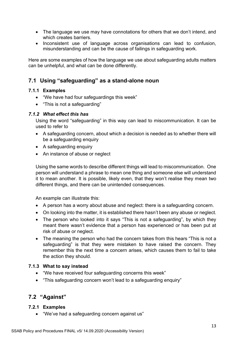- The language we use may have connotations for others that we don't intend, and which creates barriers.
- Inconsistent use of language across organisations can lead to confusion, misunderstanding and can be the cause of failings in safeguarding work.

Here are some examples of how the language we use about safeguarding adults matters can be unhelpful, and what can be done differently.

# **7.1 Using "safeguarding" as a stand-alone noun**

### **7.1.1 Examples**

- "We have had four safeguardings this week"
- "This is not a safeguarding"

### *7.1.2 What effect this has*

Using the word "safeguarding" in this way can lead to miscommunication. It can be used to refer to

- A safeguarding concern, about which a decision is needed as to whether there will be a safeguarding enquiry
- A safeguarding enquiry
- An instance of abuse or neglect

Using the same words to describe different things will lead to miscommunication. One person will understand a phrase to mean one thing and someone else will understand it to mean another. It is possible, likely even, that they won't realise they mean two different things, and there can be unintended consequences.

An example can illustrate this:

- A person has a worry about abuse and neglect: there is a safeguarding concern.
- On looking into the matter, it is established there hasn't been any abuse or neglect.
- The person who looked into it says "This is not a safeguarding", by which they meant there wasn't evidence that a person has experienced or has been put at risk of abuse or neglect.
- The meaning the person who had the concern takes from this hears "This is not a safeguarding" is that they were mistaken to have raised the concern. They remember this the next time a concern arises, which causes them to fail to take the action they should.

### **7.1.3 What to say instead**

- "We have received four safeguarding concerns this week"
- "This safeguarding concern won't lead to a safeguarding enquiry"

# **7.2 "Against"**

### **7.2.1 Examples**

• "We've had a safeguarding concern against us"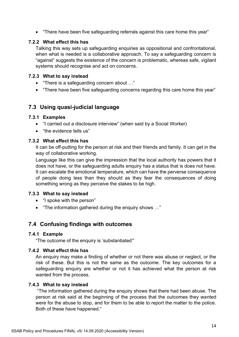• "There have been five safeguarding referrals against this care home this year"

### **7.2.2 What effect this has**

Talking this way sets up safeguarding enquiries as oppositional and confrontational, when what is needed is a collaborative approach. To say a safeguarding concern is "against" suggests the existence of the concern is problematic, whereas safe, vigilant systems should recognise and act on concerns.

### **7.2.3 What to say instead**

- "There is a safeguarding concern about …"
- "There have been five safeguarding concerns regarding this care home this year"

# **7.3 Using quasi-judicial language**

### **7.3.1 Examples**

- "I carried out a disclosure interview" (when said by a Social Worker)
- "the evidence tells us"

### **7.3.2 What effect this has**

It can be off-putting for the person at risk and their friends and family. It can get in the way of collaborative working.

Language like this can give the impression that the local authority has powers that it does not have, or the safeguarding adults enquiry has a status that is does not have. It can escalate the emotional temperature, which can have the perverse consequence of people doing less than they should as they fear the consequences of doing something wrong as they perceive the stakes to be high.

### **7.3.3 What to say instead**

- "I spoke with the person"
- "The information gathered during the enquiry shows …"

# **7.4 Confusing findings with outcomes**

### **7.4.1 Example**

"The outcome of the enquiry is 'substantiated'"

### **7.4.2 What effect this has**

An enquiry may make a finding of whether or not there was abuse or neglect, or the risk of these. But this is not the same as the outcome. The key outcomes for a safeguarding enquiry are whether or not it has achieved what the person at risk wanted from the process.

### **7.4.3 What to say instead**

"The information gathered during the enquiry shows that there had been abuse. The person at risk said at the beginning of the process that the outcomes they wanted were for the abuse to stop, and for them to be able to report the matter to the police. Both of these have happened."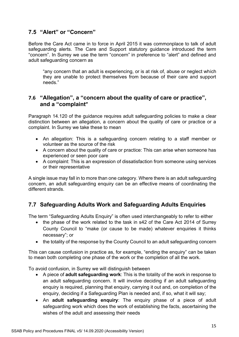# **7.5 "Alert" or "Concern"**

Before the Care Act came in to force in April 2015 it was commonplace to talk of adult safeguarding alerts. The Care and Support statutory guidance introduced the term "concern". In Surrey we use the term "concern" in preference to "alert" and defined and adult safeguarding concern as

"any concern that an adult is experiencing, or is at risk of, abuse or neglect which they are unable to protect themselves from because of their care and support needs."

# **7.6 "Allegation", a "concern about the quality of care or practice", and a "complaint"**

Paragraph 14.120 of the guidance requires adult safeguarding policies to make a clear distinction between an allegation, a concern about the quality of care or practice or a complaint. In Surrey we take these to mean

- An allegation: This is a safeguarding concern relating to a staff member or volunteer as the source of the risk
- A concern about the quality of care or practice: This can arise when someone has experienced or seen poor care
- A complaint: This is an expression of dissatisfaction from someone using services or their representative

A single issue may fall in to more than one category. Where there is an adult safeguarding concern, an adult safeguarding enquiry can be an effective means of coordinating the different strands.

# **7.7 Safeguarding Adults Work and Safeguarding Adults Enquiries**

The term "Safeguarding Adults Enquiry" is often used interchangeably to refer to either

- the phase of the work related to the task in s42 of the Care Act 2014 of Surrey County Council to "make (or cause to be made) whatever enquiries it thinks necessary"; or
- the totality of the response by the County Council to an adult safeguarding concern

This can cause confusion in practice as, for example, "ending the enquiry" can be taken to mean both completing one phase of the work or the completion of all the work.

To avoid confusion, in Surrey we will distinguish between

- A piece of **adult safeguarding work**: This is the totality of the work in response to an adult safeguarding concern. It will involve deciding if an adult safeguarding enquiry is required, planning that enquiry, carrying it out and, on completion of the enquiry, deciding if a Safeguarding Plan is needed and, if so, what it will say;
- An **adult safeguarding enquiry**: The enquiry phase of a piece of adult safeguarding work which does the work of establishing the facts, ascertaining the wishes of the adult and assessing their needs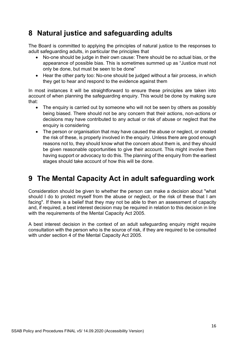# <span id="page-16-0"></span>**8 Natural justice and safeguarding adults**

The Board is committed to applying the principles of natural justice to the responses to adult safeguarding adults, in particular the principles that

- No-one should be judge in their own cause: There should be no actual bias, or the appearance of possible bias. This is sometimes summed up as "Justice must not only be done, but must be seen to be done"
- Hear the other party too: No-one should be judged without a fair process, in which they get to hear and respond to the evidence against them

In most instances it will be straightforward to ensure these principles are taken into account of when planning the safeguarding enquiry. This would be done by making sure that:

- The enquiry is carried out by someone who will not be seen by others as possibly being biased. There should not be any concern that their actions, non-actions or decisions may have contributed to any actual or risk of abuse or neglect that the enquiry is considering
- The person or organisation that may have caused the abuse or neglect, or created the risk of these, is properly involved in the enquiry. Unless there are good enough reasons not to, they should know what the concern about them is, and they should be given reasonable opportunities to give their account. This might involve them having support or advocacy to do this. The planning of the enquiry from the earliest stages should take account of how this will be done.

# <span id="page-16-1"></span>**9 The Mental Capacity Act in adult safeguarding work**

Consideration should be given to whether the person can make a decision about "what should I do to protect myself from the abuse or neglect, or the risk of these that I am facing". If there is a belief that they may not be able to then an assessment of capacity and, if required, a best interest decision may be required in relation to this decision in line with the requirements of the Mental Capacity Act 2005.

A best interest decision in the context of an adult safeguarding enquiry might require consultation with the person who is the source of risk, if they are required to be consulted with under section 4 of the Mental Capacity Act 2005.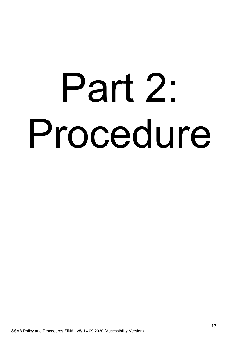# Part 2: Procedure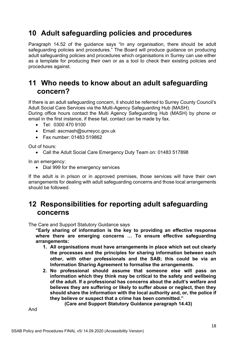# <span id="page-18-0"></span>**10 Adult safeguarding policies and procedures**

Paragraph 14.52 of the guidance says "In any organisation, there should be adult safeguarding policies and procedures." The Board will produce guidance on producing adult safeguarding policies and procedures which organisations in Surrey can use either as a template for producing their own or as a tool to check their existing policies and procedures against.

# <span id="page-18-1"></span>**11 Who needs to know about an adult safeguarding concern?**

If there is an adult safeguarding concern, it should be referred to Surrey County Council's Adult Social Care Services via the Multi-Agency Safeguarding Hub (MASH). During office hours contact the Multi Agency Safeguarding Hub (MASH) by phone or email in the first instance, if these fail, contact can be made by fax.

- Tel: 0300 470 9100
- Email: ascmash@surreycc.gov.uk
- Fax number: 01483 519862

Out of hours:

• Call the Adult Social Care Emergency Duty Team on: 01483 517898

In an emergency:

• Dial 999 for the emergency services

If the adult is in prison or in approved premises, those services will have their own arrangements for dealing with adult safeguarding concerns and those local arrangements should be followed.

# <span id="page-18-2"></span>**12 Responsibilities for reporting adult safeguarding concerns**

The Care and Support Statutory Guidance says

**"Early sharing of information is the key to providing an effective response where there are emerging concerns … To ensure effective safeguarding arrangements:**

- **1. All organisations must have arrangements in place which set out clearly the processes and the principles for sharing information between each other, with other professionals and the SAB; this could be via an Information Sharing Agreement to formalise the arrangements.**
- **2. No professional should assume that someone else will pass on information which they think may be critical to the safety and wellbeing of the adult. If a professional has concerns about the adult's welfare and believes they are suffering or likely to suffer abuse or neglect, then they should share the information with the local authority and, or, the police if they believe or suspect that a crime has been committed."**

**(Care and Support Statutory Guidance paragraph 14.43)**

And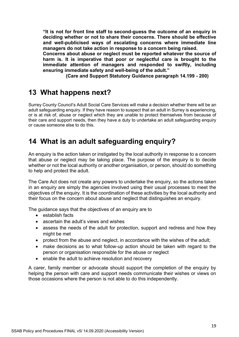**"It is not for front line staff to second-guess the outcome of an enquiry in deciding whether or not to share their concerns. There should be effective and well-publicised ways of escalating concerns where immediate line managers do not take action in response to a concern being raised.**

**Concerns about abuse or neglect must be reported whatever the source of harm is. It is imperative that poor or neglectful care is brought to the immediate attention of managers and responded to swiftly, including ensuring immediate safety and well-being of the adult."**

**(Care and Support Statutory Guidance paragraph 14.199 - 200)**

# <span id="page-19-0"></span>**13 What happens next?**

Surrey County Council's Adult Social Care Services will make a decision whether there will be an adult safeguarding enquiry. If they have reason to suspect that an adult in Surrey is experiencing, or is at risk of, abuse or neglect which they are unable to protect themselves from because of their care and support needs, then they have a duty to undertake an adult safeguarding enquiry or cause someone else to do this.

# <span id="page-19-1"></span>**14 What is an adult safeguarding enquiry?**

An enquiry is the action taken or instigated by the local authority in response to a concern that abuse or neglect may be taking place. The purpose of the enquiry is to decide whether or not the local authority or another organisation, or person, should do something to help and protect the adult.

The Care Act does not create any powers to undertake the enquiry, so the actions taken in an enquiry are simply the agencies involved using their usual processes to meet the objectives of the enquiry. It is the coordination of these activities by the local authority and their focus on the concern about abuse and neglect that distinguishes an enquiry.

The guidance says that the objectives of an enquiry are to

- establish facts
- ascertain the adult's views and wishes
- assess the needs of the adult for protection, support and redress and how they might be met
- protect from the abuse and neglect, in accordance with the wishes of the adult;
- make decisions as to what follow-up action should be taken with regard to the person or organisation responsible for the abuse or neglect
- enable the adult to achieve resolution and recovery

A carer, family member or advocate should support the completion of the enquiry by helping the person with care and support needs communicate their wishes or views on those occasions where the person is not able to do this independently.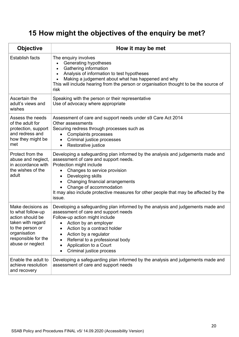# <span id="page-20-0"></span>**15 How might the objectives of the enquiry be met?**

| <b>Objective</b>                                                                                                                                               | How it may be met                                                                                                                                                                                                                                                                                                                                                                      |  |  |
|----------------------------------------------------------------------------------------------------------------------------------------------------------------|----------------------------------------------------------------------------------------------------------------------------------------------------------------------------------------------------------------------------------------------------------------------------------------------------------------------------------------------------------------------------------------|--|--|
| <b>Establish facts</b>                                                                                                                                         | The enquiry involves<br>Generating hypotheses<br>$\bullet$<br>Gathering information<br>$\bullet$<br>Analysis of information to test hypotheses<br>$\bullet$<br>Making a judgement about what has happened and why<br>This will include hearing from the person or organisation thought to be the source of<br>risk                                                                     |  |  |
| Ascertain the<br>adult's views and<br>wishes                                                                                                                   | Speaking with the person or their representative<br>Use of advocacy where appropriate                                                                                                                                                                                                                                                                                                  |  |  |
| Assess the needs<br>of the adult for<br>protection, support<br>and redress and<br>how they might be<br>met                                                     | Assessment of care and support needs under s9 Care Act 2014<br>Other assessments<br>Securing redress through processes such as<br><b>Complaints processes</b><br>Criminal justice processes<br>Restorative justice<br>$\bullet$                                                                                                                                                        |  |  |
| Protect from the<br>abuse and neglect,<br>in accordance with<br>the wishes of the<br>adult                                                                     | Developing a safeguarding plan informed by the analysis and judgements made and<br>assessment of care and support needs.<br>Protection might include<br>Changes to service provision<br>Developing skills<br>$\bullet$<br>Changing financial arrangements<br>Change of accommodation<br>It may also include protective measures for other people that may be affected by the<br>issue. |  |  |
| Make decisions as<br>to what follow-up<br>action should be<br>taken with regard<br>to the person or<br>organisation<br>responsible for the<br>abuse or neglect | Developing a safeguarding plan informed by the analysis and judgements made and<br>assessment of care and support needs<br>Follow-up action might include<br>Action by an employer<br>Action by a contract holder<br>Action by a regulator<br>Referral to a professional body<br>Application to a Court<br>Criminal justice process                                                    |  |  |
| Enable the adult to<br>achieve resolution<br>and recovery                                                                                                      | Developing a safeguarding plan informed by the analysis and judgements made and<br>assessment of care and support needs                                                                                                                                                                                                                                                                |  |  |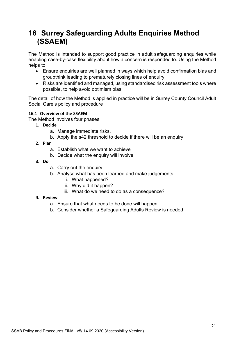# <span id="page-21-0"></span>**16 Surrey Safeguarding Adults Enquiries Method (SSAEM)**

The Method is intended to support good practice in adult safeguarding enquiries while enabling case-by-case flexibility about how a concern is responded to. Using the Method helps to

- Ensure enquiries are well planned in ways which help avoid confirmation bias and groupthink leading to prematurely closing lines of enquiry
- Risks are identified and managed, using standardised risk assessment tools where possible, to help avoid optimism bias

The detail of how the Method is applied in practice will be in Surrey County Council Adult Social Care's policy and procedure

### **16.1 Overview of the SSAEM**

The Method involves four phases

- **1. Decide**
	- a. Manage immediate risks.
	- b. Apply the s42 threshold to decide if there will be an enquiry
- **2. Plan** 
	- a. Establish what we want to achieve
	- b. Decide what the enquiry will involve
- **3. Do** 
	- a. Carry out the enquiry
	- b. Analyse what has been learned and make judgements
		- i. What happened?
		- ii. Why did it happen?
		- iii. What do we need to do as a consequence?

### **4. Review**

- a. Ensure that what needs to be done will happen
- b. Consider whether a Safeguarding Adults Review is needed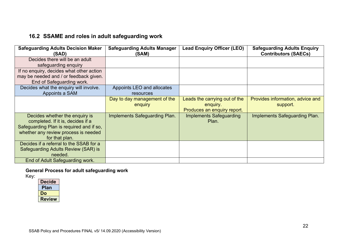# **16.2 SSAME and roles in adult safeguarding work**

| <b>Safeguarding Adults Decision Maker</b><br>(SAD)                                                                                                                        | <b>Safeguarding Adults Manager</b><br>(SAM) | <b>Lead Enquiry Officer (LEO)</b>                                        | <b>Safeguarding Adults Enquiry</b><br><b>Contributors (SAECs)</b> |
|---------------------------------------------------------------------------------------------------------------------------------------------------------------------------|---------------------------------------------|--------------------------------------------------------------------------|-------------------------------------------------------------------|
| Decides there will be an adult<br>safeguarding enquiry                                                                                                                    |                                             |                                                                          |                                                                   |
| If no enquiry, decides what other action<br>may be needed and / or feedback given.<br>End of Safeguarding work.                                                           |                                             |                                                                          |                                                                   |
| Decides what the enquiry will involve.<br>Appoints a SAM                                                                                                                  | Appoints LEO and allocates<br>resources     |                                                                          |                                                                   |
|                                                                                                                                                                           | Day to day management of the<br>enquiry     | Leads the carrying out of the<br>enquiry.<br>Produces an enquiry report. | Provides information, advice and<br>support.                      |
| Decides whether the enquiry is<br>completed. If it is, decides if a<br>Safeguarding Plan is required and if so,<br>whether any review process is needed<br>for that plan. | Implements Safeguarding Plan.               | <b>Implements Safeguarding</b><br>Plan.                                  | Implements Safeguarding Plan.                                     |
| Decides if a referral to the SSAB for a<br>Safeguarding Adults Review (SAR) is<br>needed.                                                                                 |                                             |                                                                          |                                                                   |
| End of Adult Safeguarding work.                                                                                                                                           |                                             |                                                                          |                                                                   |

# **General Process for adult safeguarding work**

| <b>Decide</b> |
|---------------|
| Plan          |
| Do            |
| <b>Review</b> |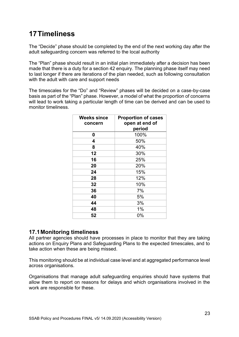# <span id="page-23-0"></span>**17Timeliness**

The "Decide" phase should be completed by the end of the next working day after the adult safeguarding concern was referred to the local authority

The "Plan" phase should result in an initial plan immediately after a decision has been made that there is a duty for a section 42 enquiry. The planning phase itself may need to last longer if there are iterations of the plan needed, such as following consultation with the adult with care and support needs

The timescales for the "Do" and "Review" phases will be decided on a case-by-case basis as part of the "Plan" phase. However, a model of what the proportion of concerns will lead to work taking a particular length of time can be derived and can be used to monitor timeliness.

| <b>Weeks since</b><br>concern | <b>Proportion of cases</b><br>open at end of<br>period |
|-------------------------------|--------------------------------------------------------|
| 0                             | 100%                                                   |
| 4                             | 50%                                                    |
| 8                             | 40%                                                    |
| 12                            | 30%                                                    |
| 16                            | 25%                                                    |
| 20                            | 20%                                                    |
| 24                            | 15%                                                    |
| 28                            | 12%                                                    |
| 32                            | 10%                                                    |
| 36                            | 7%                                                     |
| 40                            | 5%                                                     |
| 44                            | 3%                                                     |
| 48                            | 1%                                                     |
| 52                            | 0%                                                     |

# **17.1Monitoring timeliness**

All partner agencies should have processes in place to monitor that they are taking actions on Enquiry Plans and Safeguarding Plans to the expected timescales, and to take action when these are being missed.

This monitoring should be at individual case level and at aggregated performance level across organisations.

Organisations that manage adult safeguarding enquiries should have systems that allow them to report on reasons for delays and which organisations involved in the work are responsible for these.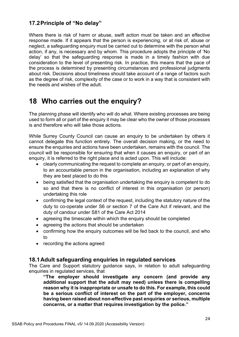# **17.2Principle of "No delay"**

Where there is risk of harm or abuse, swift action must be taken and an effective response made. If it appears that the person is experiencing, or at risk of, abuse or neglect, a safeguarding enquiry must be carried out to determine with the person what action, if any, is necessary and by whom. This procedure adopts the principle of 'No delay' so that the safeguarding response is made in a timely fashion with due consideration to the level of presenting risk. In practice, this means that the pace of the process is determined by presenting circumstances and professional judgments about risk. Decisions about timeliness should take account of a range of factors such as the degree of risk, complexity of the case or to work in a way that is consistent with the needs and wishes of the adult.

# <span id="page-24-0"></span>**18 Who carries out the enquiry?**

The planning phase will identify who will do what. Where existing processes are being used to form all or part of the enquiry it may be clear who the owner of those processes is and therefore who will take those actions.

While Surrey County Council can cause an enquiry to be undertaken by others it cannot delegate this function entirely. The overall decision making, or the need to ensure the enquiries and actions have been undertaken, remains with the council. The council will be responsible for ensuring that when it causes an enquiry, or part of an enquiry, it is referred to the right place and is acted upon. This will include:

- clearly communicating the request to complete an enquiry, or part of an enquiry, to an accountable person in the organisation, including an explanation of why they are best placed to do this
- being satisfied that the organisation undertaking the enquiry is competent to do so and that there is no conflict of interest in this organisation (or person) undertaking this role
- confirming the legal context of the request, including the statutory nature of the duty to co-operate under S6 or section 7 of the Care Act if relevant, and the duty of candour under S81 of the Care Act 2014
- agreeing the timescale within which the enquiry should be completed
- agreeing the actions that should be undertaken
- confirming how the enquiry outcomes will be fed back to the council, and who to
- recording the actions agreed

### **18.1Adult safeguarding enquiries in regulated services**

The Care and Support statutory guidance says, in relation to adult safeguarding enquiries in regulated services, that

**"The employer should investigate any concern (and provide any additional support that the adult may need) unless there is compelling reason why it is inappropriate or unsafe to do this. For example, this could be a serious conflict of interest on the part of the employer, concerns having been raised about non-effective past enquiries or serious, multiple concerns, or a matter that requires investigation by the police."**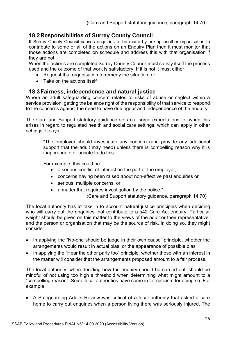# **18.2Responsibilities of Surrey County Council**

If Surrey County Council causes enquiries to be made by asking another organisation to contribute to some or all of the actions on an Enquiry Plan then it must monitor that those actions are completed on schedule and address this with that organisation if they are not

When the actions are completed Surrey County Council must satisfy itself the process used and the outcome of that work is satisfactory. If it is not it must either

- Request that organisation to remedy the situation; or
- Take on the actions itself

# **18.3Fairness, independence and natural justice**

Where an adult safeguarding concern relates to risks of abuse or neglect within a service provision, getting the balance right of the responsibility of that service to respond to the concerns against the need to have due rigour and independence of the enquiry.

The Care and Support statutory guidance sets out some expectations for when this arises in regard to regulated health and social care settings, which can apply in other settings. It says

"The employer should investigate any concern (and provide any additional support that the adult may need) unless there is compelling reason why it is inappropriate or unsafe to do this.

For example, this could be

- a serious conflict of interest on the part of the employer,
- concerns having been raised about non-effective past enquiries or
- serious, multiple concerns, or
- a matter that requires investigation by the police."

(Care and Support statutory guidance, paragraph 14.70)

The local authority has to take in to account natural justice principles when deciding who will carry out the enquiries that contribute to a s42 Care Act enquiry. Particular weight should be given on this matter to the views of the adult or their representative. and the person or organisation that may be the source of risk. In doing so, they might consider

- In applying the "No-one should be judge in their own cause" principle, whether the arrangements would result in actual bias, or the appearance of possible bias
- In applying the "Hear the other party too" principle, whether those with an interest in the matter will consider that the arrangements proposed amount to a fair process.

The local authority, when deciding how the enquiry should be carried out, should be mindful of not using too high a threshold when determining what might amount to a "compelling reason". Some local authorities have come in for criticism for doing so. For example

• A Safeguarding Adults Review was critical of a local authority that asked a care home to carry out enquiries when a person living there was seriously injured. The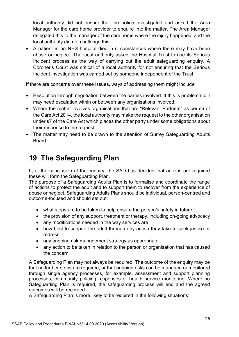local authority did not ensure that the police investigated and asked the Area Manager for the care home provider to enquire into the matter. The Area Manager delegated this to the manager of the care home where the injury happened, and the local authority did not challenge this.

• A patient in an NHS hospital died in circumstances where there may have been abuse or neglect. The local authority asked the Hospital Trust to use its Serious Incident process as the way of carrying out the adult safeguarding enquiry. A Coroner's Court was critical of a local authority for not ensuring that the Serious Incident investigation was carried out by someone independent of the Trust

If there are concerns over these issues, ways of addressing them might include

- Resolution through negotiation between the parties involved. If this is problematic it may need escalation within or between any organisations involved;
- Where the matter involves organisations that are "Relevant Partners" as per s6 of the Care Act 2014, the local authority may make the request to the other organisation under s7 of the Care Act which places the other party under some obligations about their response to the request;
- The matter may need to be drawn to the attention of Surrey Safeguarding Adults Board

# <span id="page-26-0"></span>**19 The Safeguarding Plan**

If, at the conclusion of the enquiry, the SAD has decided that actions are required these will form the Safeguarding Plan.

The purpose of a Safeguarding Adults Plan is to formalise and coordinate the range of actions to protect the adult and to support them to recover from the experience of abuse or neglect. Safeguarding Adults Plans should be individual, person-centred and outcome-focused and should set out:

- what steps are to be taken to help ensure the person's safety in future
- the provision of any support, treatment or therapy, including on-going advocacy
- any modifications needed in the way services are
- how best to support the adult through any action they take to seek justice or redress
- any ongoing risk management strategy as appropriate
- any action to be taken in relation to the person or organisation that has caused the concern

A Safeguarding Plan may not always be required. The outcome of the enquiry may be that no further steps are required, or that ongoing risks can be managed or monitored through single agency processes, for example, assessment and support planning processes, community policing responses or health service monitoring. Where no Safeguarding Plan is required, the safeguarding process will end and the agreed outcomes will be recorded.

A Safeguarding Plan is more likely to be required in the following situations: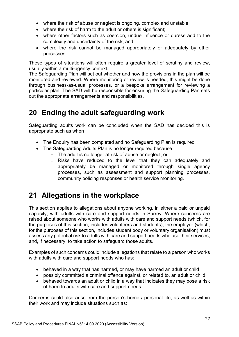- where the risk of abuse or neglect is ongoing, complex and unstable;
- where the risk of harm to the adult or others is significant:
- where other factors such as coercion, undue influence or duress add to the complexity and uncertainty of the risk; and
- where the risk cannot be managed appropriately or adequately by other processes

These types of situations will often require a greater level of scrutiny and review, usually within a multi-agency context.

The Safeguarding Plan will set out whether and how the provisions in the plan will be monitored and reviewed. Where monitoring or review is needed, this might be done through business-as-usual processes, or a bespoke arrangement for reviewing a particular plan. The SAD will be responsible for ensuring the Safeguarding Pan sets out the appropriate arrangements and responsibilities.

# <span id="page-27-0"></span>**20 Ending the adult safeguarding work**

Safeguarding adults work can be concluded when the SAD has decided this is appropriate such as when

- The Enquiry has been completed and no Safeguarding Plan is required
- The Safeguarding Adults Plan is no longer required because
	- o The adult is no longer at risk of abuse or neglect, or
	- o Risks have reduced to the level that they can adequately and appropriately be managed or monitored through single agency processes, such as assessment and support planning processes, community policing responses or health service monitoring.

# <span id="page-27-1"></span>**21 Allegations in the workplace**

This section applies to allegations about anyone working, in either a paid or unpaid capacity, with adults with care and support needs in Surrey. Where concerns are raised about someone who works with adults with care and support needs (which, for the purposes of this section, includes volunteers and students), the employer (which, for the purposes of this section, includes student body or voluntary organisation) must assess any potential risk to adults with care and support needs who use their services, and, if necessary, to take action to safeguard those adults.

Examples of such concerns could include allegations that relate to a person who works with adults with care and support needs who has:

- behaved in a way that has harmed, or may have harmed an adult or child
- possibly committed a criminal offence against, or related to, an adult or child
- behaved towards an adult or child in a way that indicates they may pose a risk of harm to adults with care and support needs

Concerns could also arise from the person's home / personal life, as well as within their work and may include situations such as: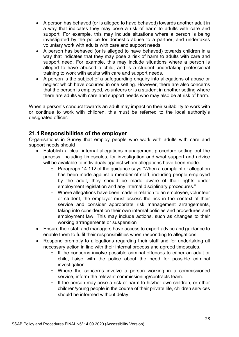- A person has behaved (or is alleged to have behaved) towards another adult in a way that indicates they may pose a risk of harm to adults with care and support. For example, this may include situations where a person is being investigated by the police for domestic abuse to a partner, and undertakes voluntary work with adults with care and support needs.
- A person has behaved (or is alleged to have behaved) towards children in a way that indicates that they may pose a risk of harm to adults with care and support need. For example, this may include situations where a person is alleged to have abused a child, and is a student undertaking professional training to work with adults with care and support needs.
- A person is the subject of a safeguarding enquiry into allegations of abuse or neglect which have occurred in one setting. However, there are also concerns that the person is employed, volunteers or is a student in another setting where there are adults with care and support needs who may also be at risk of harm.

When a person's conduct towards an adult may impact on their suitability to work with or continue to work with children, this must be referred to the local authority's designated officer.

# **21.1Responsibilities of the employer**

Organisations in Surrey that employ people who work with adults with care and support needs should

- Establish a clear internal allegations management procedure setting out the process, including timescales, for investigation and what support and advice will be available to individuals against whom allegations have been made.
	- o Paragraph 14.112 of the guidance says "When a complaint or allegation has been made against a member of staff, including people employed by the adult, they should be made aware of their rights under employment legislation and any internal disciplinary procedures."
	- o Where allegations have been made in relation to an employee, volunteer or student, the employer must assess the risk in the context of their service and consider appropriate risk management arrangements, taking into consideration their own internal policies and procedures and employment law. This may include actions, such as changes to their working arrangements or suspension
- Ensure their staff and managers have access to expert advice and guidance to enable them to fulfil their responsibilities when responding to allegations.
- Respond promptly to allegations regarding their staff and for undertaking all necessary action in line with their internal process and agreed timescales.
	- o If the concerns involve possible criminal offences to either an adult or child, liaise with the police about the need for possible criminal investigation
	- o Where the concerns involve a person working in a commissioned service, inform the relevant commissioning/contracts team.
	- o If the person may pose a risk of harm to his/her own children, or other children/young people in the course of their private life, children services should be informed without delay.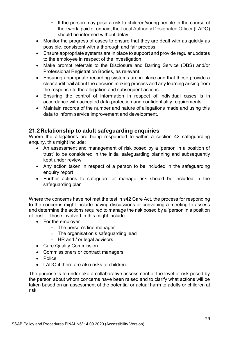- o If the person may pose a risk to children/young people in the course of their work, paid or unpaid, the Local Authority Designated Officer (LADO) should be informed without delay.
- Monitor the progress of cases to ensure that they are dealt with as quickly as possible, consistent with a thorough and fair process.
- Ensure appropriate systems are in place to support and provide regular updates to the employee in respect of the investigation.
- Make prompt referrals to the Disclosure and Barring Service (DBS) and/or Professional Registration Bodies, as relevant.
- Ensuring appropriate recording systems are in place and that these provide a clear audit trail about the decision making process and any learning arising from the response to the allegation and subsequent actions.
- Ensuring the control of information in respect of individual cases is in accordance with accepted data protection and confidentiality requirements.
- Maintain records of the number and nature of allegations made and using this data to inform service improvement and development.

# **21.2Relationship to adult safeguarding enquiries**

Where the allegations are being responded to within a section 42 safeguarding enquiry, this might include:

- An assessment and management of risk posed by a 'person in a position of trust' to be considered in the initial safeguarding planning and subsequently kept under review
- Any action taken in respect of a person to be included in the safeguarding enquiry report
- Further actions to safeguard or manage risk should be included in the safeguarding plan

Where the concerns have not met the test in s42 Care Act, the process for responding to the concerns might include having discussions or convening a meeting to assess and determine the actions required to manage the risk posed by a 'person in a position of trust'. Those involved in this might include

- For the employer
	- o The person's line manager
	- o The organisation's safeguarding lead
	- o HR and / or legal advisors
- Care Quality Commission
- Commissioners or contract managers
- Police
- LADO if there are also risks to children

The purpose is to undertake a collaborative assessment of the level of risk posed by the person about whom concerns have been raised and to clarify what actions will be taken based on an assessment of the potential or actual harm to adults or children at risk.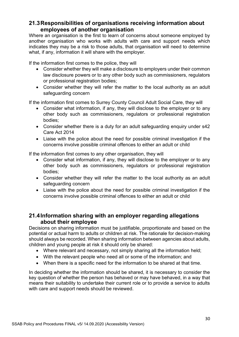# **21.3Responsibilities of organisations receiving information about employees of another organisation**

Where an organisation is the first to learn of concerns about someone employed by another organisation who works with adults with care and support needs which indicates they may be a risk to those adults, that organisation will need to determine what, if any, information it will share with the employer.

If the information first comes to the police, they will

- Consider whether they will make a disclosure to employers under their common law disclosure powers or to any other body such as commissioners, regulators or professional registration bodies;
- Consider whether they will refer the matter to the local authority as an adult safeguarding concern

If the information first comes to Surrey County Council Adult Social Care, they will

- Consider what information, if any, they will disclose to the employer or to any other body such as commissioners, regulators or professional registration bodies;
- Consider whether there is a duty for an adult safeguarding enquiry under s42 Care Act 2014
- Liaise with the police about the need for possible criminal investigation if the concerns involve possible criminal offences to either an adult or child

If the information first comes to any other organisation, they will

- Consider what information, if any, they will disclose to the employer or to any other body such as commissioners, regulators or professional registration bodies;
- Consider whether they will refer the matter to the local authority as an adult safeguarding concern
- Liaise with the police about the need for possible criminal investigation if the concerns involve possible criminal offences to either an adult or child

# **21.4Information sharing with an employer regarding allegations about their employee**

Decisions on sharing information must be justifiable, proportionate and based on the potential or actual harm to adults or children at risk. The rationale for decision-making should always be recorded. When sharing information between agencies about adults, children and young people at risk it should only be shared:

- Where relevant and necessary, not simply sharing all the information held;
- With the relevant people who need all or some of the information; and
- When there is a specific need for the information to be shared at that time.

In deciding whether the information should be shared, it is necessary to consider the key question of whether the person has behaved or may have behaved, in a way that means their suitability to undertake their current role or to provide a service to adults with care and support needs should be reviewed.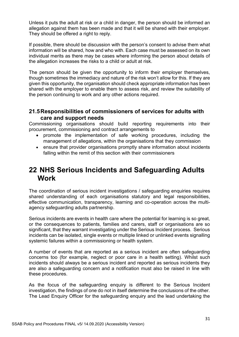Unless it puts the adult at risk or a child in danger, the person should be informed an allegation against them has been made and that it will be shared with their employer. They should be offered a right to reply.

If possible, there should be discussion with the person's consent to advise them what information will be shared, how and who with. Each case must be assessed on its own individual merits as there may be cases where informing the person about details of the allegation increases the risks to a child or adult at risk.

The person should be given the opportunity to inform their employer themselves, though sometimes the immediacy and nature of the risk won't allow for this. If they are given this opportunity, the organisation should check appropriate information has been shared with the employer to enable them to assess risk, and review the suitability of the person continuing to work and any other actions required.

# **21.5Responsibilities of commissioners of services for adults with care and support needs**

Commissioning organisations should build reporting requirements into their procurement, commissioning and contract arrangements to

- promote the implementation of safe working procedures, including the management of allegations, within the organisations that they commission
- ensure that provider organisations promptly share information about incidents falling within the remit of this section with their commissioners

# <span id="page-31-0"></span>**22 NHS Serious Incidents and Safeguarding Adults Work**

The coordination of serious incident investigations / safeguarding enquiries requires shared understanding of each organisations statutory and legal responsibilities, effective communication, transparency, learning and co-operation across the multiagency safeguarding adults partnership.

Serious incidents are events in health care where the potential for learning is so great, or the consequences to patients, families and carers, staff or organisations are so significant, that they warrant investigating under the Serious Incident process. Serious incidents can be isolated, single events or multiple linked or unlinked events signalling systemic failures within a commissioning or health system.

A number of events that are reported as a serious incident are often safeguarding concerns too (for example, neglect or poor care in a health setting). Whilst such incidents should always be a serious incident and reported as serious incidents they are also a safeguarding concern and a notification must also be raised in line with these procedures.

As the focus of the safeguarding enquiry is different to the Serious Incident investigation, the findings of one do not in itself determine the conclusions of the other. The Lead Enquiry Officer for the safeguarding enquiry and the lead undertaking the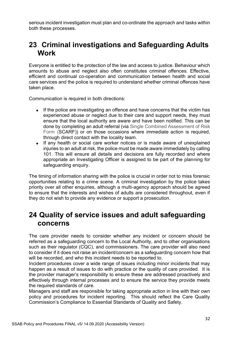serious incident investigation must plan and co-ordinate the approach and tasks within both these processes.

# <span id="page-32-0"></span>**23 Criminal investigations and Safeguarding Adults Work**

Everyone is entitled to the protection of the law and access to justice. Behaviour which amounts to abuse and neglect also often constitutes criminal offences. Effective, efficient and continual co-operation and communication between health and social care services and the police is required to understand whether criminal offences have taken place.

Communication is required in both directions:

- If the police are investigating an offence and have concerns that the victim has experienced abuse or neglect due to their care and support needs, they must ensure that the local authority are aware and have been notified. This can be done by completing an adult referral (via Single Combined Assessment of Risk Form (SCARF)) or on those occasions where immediate action is required, through direct contact with the locality team.
- If any health or social care worker notices or is made aware of unexplained injuries to an adult at risk, the police must be made aware immediately by calling 101. This will ensure all details and decisions are fully recorded and where appropriate an Investigating Officer is assigned to be part of the planning for safeguarding enquiry.

The timing of information sharing with the police is crucial in order not to miss forensic opportunities relating to a crime scene. A criminal investigation by the police takes priority over all other enquiries, although a multi-agency approach should be agreed to ensure that the interests and wishes of adults are considered throughout, even if they do not wish to provide any evidence or support a prosecution.

# <span id="page-32-1"></span>**24 Quality of service issues and adult safeguarding concerns**

The care provider needs to consider whether any incident or concern should be referred as a safeguarding concern to the Local Authority, and to other organisations such as their regulator (CQC), and commissioners. The care provider will also need to consider if it does not raise an incident/concern as a safeguarding concern how that will be recorded, and who this incident needs to be reported to.

Incident procedures cover a wide range of issues including minor incidents that may happen as a result of issues to do with practice or the quality of care provided. It is the provider manager's responsibility to ensure these are addressed proactively and effectively through internal processes and to ensure the service they provide meets the required standards of care.

Managers and staff are responsible for taking appropriate action in line with their own policy and procedures for incident reporting. This should reflect the Care Quality Commission's Compliance to Essential Standards of Quality and Safety.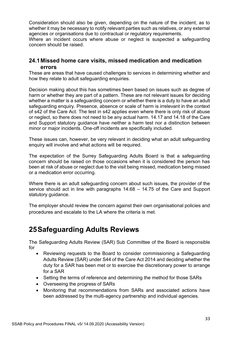Consideration should also be given, depending on the nature of the incident, as to whether it may be necessary to notify relevant parties such as relatives, or any external agencies or organisations due to contractual or regulatory requirements.

Where an incident occurs where abuse or neglect is suspected a safeguarding concern should be raised.

# **24.1Missed home care visits, missed medication and medication errors**

These are areas that have caused challenges to services in determining whether and how they relate to adult safeguarding enquiries.

Decision making about this has sometimes been based on issues such as degree of harm or whether they are part of a pattern. These are not relevant issues for deciding whether a matter is a safeguarding concern or whether there is a duty to have an adult safeguarding enquiry. Presence, absence or scale of harm is irrelevant in the context of s42 of the Care Act. The test in s42 applies even where there is only risk of abuse or neglect, so there does not need to be any actual harm. 14.17 and 14.18 of the Care and Support statutory guidance have neither a harm test nor a distinction between minor or major incidents. One-off incidents are specifically included.

These issues can, however, be very relevant in deciding what an adult safeguarding enquiry will involve and what actions will be required.

The expectation of the Surrey Safeguarding Adults Board is that a safeguarding concern should be raised on those occasions when it is considered the person has been at risk of abuse or neglect due to the visit being missed, medication being missed or a medication error occurring.

Where there is an adult safeguarding concern about such issues, the provider of the service should act in line with paragraphs 14.68 – 14.75 of the Care and Support statutory guidance.

The employer should review the concern against their own organisational policies and procedures and escalate to the LA where the criteria is met.

# <span id="page-33-0"></span>**25Safeguarding Adults Reviews**

The Safeguarding Adults Review (SAR) Sub Committee of the Board is responsible for

- Reviewing requests to the Board to consider commissioning a Safeguarding Adults Review (SAR) under S44 of the Care Act 2014 and deciding whether the duty for a SAR has been met or to exercise the discretionary power to arrange for a SAR
- Setting the terms of reference and determining the method for those SARs
- Overseeing the progress of SARs
- Monitoring that recommendations from SARs and associated actions have been addressed by the multi-agency partnership and individual agencies.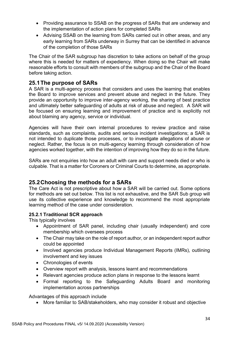- Providing assurance to SSAB on the progress of SARs that are underway and the implementation of action plans for completed SARs
- Advising SSAB on the learning from SARs carried out in other areas, and any early learning from SARs underway in Surrey that can be identified in advance of the completion of those SARs

The Chair of the SAR subgroup has discretion to take actions on behalf of the group where this is needed for matters of expediency. When doing so the Chair will make reasonable efforts to consult with members of the subgroup and the Chair of the Board before taking action.

# **25.1The purpose of SARs**

A SAR is a multi-agency process that considers and uses the learning that enables the Board to improve services and prevent abuse and neglect in the future. They provide an opportunity to improve inter-agency working, the sharing of best practice and ultimately better safeguarding of adults at risk of abuse and neglect. A SAR will be focused on ensuring learning and improvement of practice and is explicitly not about blaming any agency, service or individual.

Agencies will have their own internal procedures to review practice and raise standards, such as complaints, audits and serious incident investigations; a SAR is not intended to duplicate those processes, or to investigate allegations of abuse or neglect. Rather, the focus is on multi-agency learning through consideration of how agencies worked together, with the intention of improving how they do so in the future.

SARs are not enquiries into how an adult with care and support needs died or who is culpable. That is a matter for Coroners or Criminal Courts to determine, as appropriate.

# **25.2Choosing the methods for a SARs**

The Care Act is not prescriptive about how a SAR will be carried out. Some options for methods are set out below. This list is not exhaustive, and the SAR Sub group will use its collective experience and knowledge to recommend the most appropriate learning method of the case under consideration.

### **25.2.1 Traditional SCR approach**

This typically involves

- Appointment of SAR panel, including chair (usually independent) and core membership which oversees process
- The Chair may take on the role of report author, or an independent report author could be appointed
- Involved agencies produce Individual Management Reports (IMRs), outlining involvement and key issues
- Chronologies of events
- Overview report with analysis, lessons learnt and recommendations
- Relevant agencies produce action plans in response to the lessons learnt
- Formal reporting to the Safeguarding Adults Board and monitoring implementation across partnerships

Advantages of this approach include

• More familiar to SAB/stakeholders, who may consider it robust and objective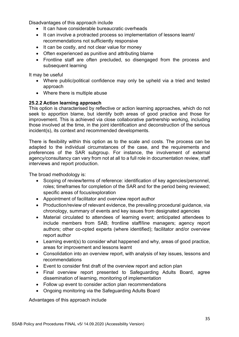Disadvantages of this approach include

- It can have considerable bureaucratic overheads
- It can involve a protracted process so implementation of lessons learnt/ recommendations not sufficiently responsive
- It can be costly, and not clear value for money
- Often experienced as punitive and attributing blame
- Frontline staff are often precluded, so disengaged from the process and subsequent learning

It may be useful

- Where public/political confidence may only be upheld via a tried and tested approach
- Where there is multiple abuse

### **25.2.2 Action learning approach**

This option is characterised by reflective or action learning approaches, which do not seek to apportion blame, but identify both areas of good practice and those for improvement. This is achieved via close collaborative partnership working, including those involved at the time, in the joint identification and deconstruction of the serious incident(s), its context and recommended developments.

There is flexibility within this option as to the scale and costs. The process can be adapted to the individual circumstances of the case, and the requirements and preferences of the SAR subgroup. For instance, the involvement of external agency/consultancy can vary from not at all to a full role in documentation review, staff interviews and report production.

The broad methodology is:

- Scoping of review/terms of reference: identification of key agencies/personnel, roles; timeframes for completion of the SAR and for the period being reviewed; specific areas of focus/exploration
- Appointment of facilitator and overview report author
- Production/review of relevant evidence, the prevailing procedural guidance, via chronology, summary of events and key issues from designated agencies
- Material circulated to attendees of learning event; anticipated attendees to include members from SAB; frontline staff/line managers; agency report authors; other co-opted experts (where identified); facilitator and/or overview report author
- Learning event(s) to consider what happened and why, areas of good practice, areas for improvement and lessons learnt
- Consolidation into an overview report, with analysis of key issues, lessons and recommendations
- Event to consider first draft of the overview report and action plan
- Final overview report presented to Safeguarding Adults Board, agree dissemination of learning, monitoring of implementation
- Follow up event to consider action plan recommendations
- Ongoing monitoring via the Safeguarding Adults Board

Advantages of this approach include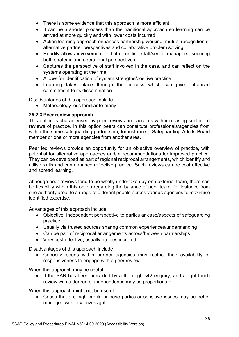- There is some evidence that this approach is more efficient
- It can be a shorter process than the traditional approach so learning can be arrived at more quickly and with lower costs incurred
- Action learning approach enhances partnership working, mutual recognition of alternative partner perspectives and collaborative problem solving
- Readily allows involvement of both frontline staff/senior managers, securing both strategic and operational perspectives
- Captures the perspective of staff involved in the case, and can reflect on the systems operating at the time
- Allows for identification of system strengths/positive practice
- Learning takes place through the process which can give enhanced commitment to its dissemination

Disadvantages of this approach include

• Methodology less familiar to many

### **25.2.3 Peer review approach**

This option is characterised by peer reviews and accords with increasing sector led reviews of practice. In this option peers can constitute professionals/agencies from within the same safeguarding partnership, for instance a Safeguarding Adults Board member or one or more agencies from another area.

Peer led reviews provide an opportunity for an objective overview of practice, with potential for alternative approaches and/or recommendations for improved practice. They can be developed as part of regional reciprocal arrangements, which identify and utilise skills and can enhance reflective practice. Such reviews can be cost effective and spread learning.

Although peer reviews tend to be wholly undertaken by one external team, there can be flexibility within this option regarding the balance of peer team, for instance from one authority area, to a range of different people across various agencies to maximise identified expertise.

Advantages of this approach include

- Objective, independent perspective to particular case/aspects of safeguarding practice
- Usually via trusted sources sharing common experiences/understanding
- Can be part of reciprocal arrangements across/between partnerships
- Very cost effective, usually no fees incurred

Disadvantages of this approach include

• Capacity issues within partner agencies may restrict their availability or responsiveness to engage with a peer review

When this approach may be useful

• If the SAR has been preceded by a thorough s42 enquiry, and a light touch review with a degree of independence may be proportionate

When this approach might not be useful

• Cases that are high profile or have particular sensitive issues may be better managed with local oversight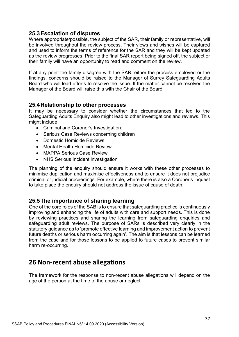### **25.3Escalation of disputes**

Where appropriate/possible, the subject of the SAR, their family or representative, will be involved throughout the review process. Their views and wishes will be captured and used to inform the terms of reference for the SAR and they will be kept updated as the review progresses. Prior to the final SAR report being signed off, the subject or their family will have an opportunity to read and comment on the review.

If at any point the family disagree with the SAR, either the process employed or the findings, concerns should be raised to the Manager of Surrey Safeguarding Adults Board who will lead efforts to resolve the issue. If the matter cannot be resolved the Manager of the Board will raise this with the Chair of the Board.

### **25.4Relationship to other processes**

It may be necessary to consider whether the circumstances that led to the Safeguarding Adults Enquiry also might lead to other investigations and reviews. This might include:

- Criminal and Coroner's Investigation:
- Serious Case Reviews concerning children
- Domestic Homicide Reviews
- Mental Health Homicide Review
- MAPPA Serious Case Review
- NHS Serious Incident investigation

The planning of the enquiry should ensure it works with these other processes to minimise duplication and maximise effectiveness and to ensure it does not prejudice criminal or judicial proceedings. For example, where there is also a Coroner's Inquest to take place the enquiry should not address the issue of cause of death.

# **25.5The importance of sharing learning**

One of the core roles of the SAB is to ensure that safeguarding practice is continuously improving and enhancing the life of adults with care and support needs. This is done by reviewing practices and sharing the learning from safeguarding enquiries and safeguarding adult reviews. The purpose of SARs is described very clearly in the statutory guidance as to 'promote effective learning and improvement action to prevent future deaths or serious harm occurring again'. The aim is that lessons can be learned from the case and for those lessons to be applied to future cases to prevent similar harm re-occurring.

# <span id="page-37-0"></span>**26 Non-recent abuse allegations**

The framework for the response to non-recent abuse allegations will depend on the age of the person at the time of the abuse or neglect.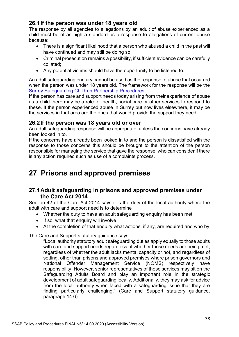# **26.1If the person was under 18 years old**

The response by all agencies to allegations by an adult of abuse experienced as a child must be of as high a standard as a response to allegations of current abuse because:

- There is a significant likelihood that a person who abused a child in the past will have continued and may still be doing so;
- Criminal prosecution remains a possibility, if sufficient evidence can be carefully collated;
- Any potential victims should have the opportunity to be listened to.

An adult safeguarding enquiry cannot be used as the response to abuse that occurred when the person was under 18 years old. The framework for the response will be the [Surrey Safeguarding Children Partnership](http://surreyscb.procedures.org.uk/) Procedures.

If the person has care and support needs today arising from their experience of abuse as a child there may be a role for health, social care or other services to respond to these. If the person experienced abuse in Surrey but now lives elsewhere, it may be the services in that area are the ones that would provide the support they need.

# **26.2If the person was 18 years old or over**

An adult safeguarding response will be appropriate, unless the concerns have already been looked in to.

If the concerns have already been looked in to and the person is dissatisfied with the response to those concerns this should be brought to the attention of the person responsible for managing the service that gave the response, who can consider if there is any action required such as use of a complaints process.

# <span id="page-38-0"></span>**27 Prisons and approved premises**

# **27.1Adult safeguarding in prisons and approved premises under the Care Act 2014**

Section 42 of the Care Act 2014 says it is the duty of the local authority where the adult with care and support need is to determine

- Whether the duty to have an adult safeguarding enquiry has been met
- If so, what that enquiry will involve
- At the completion of that enquiry what actions, if any, are required and who by

The Care and Support statutory guidance says

"Local authority statutory adult safeguarding duties apply equally to those adults with care and support needs regardless of whether those needs are being met, regardless of whether the adult lacks mental capacity or not, and regardless of setting, other than prisons and approved premises where prison governors and National Offender Management Service (NOMS) respectively have responsibility. However, senior representatives of those services may sit on the Safeguarding Adults Board and play an important role in the strategic development of adult safeguarding locally. Additionally, they may ask for advice from the local authority when faced with a safeguarding issue that they are finding particularly challenging." (Care and Support statutory guidance, paragraph 14.6)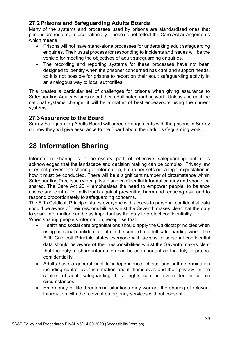# **27.2Prisons and Safeguarding Adults Boards**

Many of the systems and processes used by prisons are standardised ones that prisons are required to use nationally. These do not reflect the Care Act arrangements which means

- Prisons will not have stand-alone processes for undertaking adult safeguarding enquiries. Their usual process for responding to incidents and issues will be the vehicle for meeting the objectives of adult safeguarding enquiries.
- The recording and reporting systems for these processes have not been designed to identify when the prisoner concerned has care and support needs, so it is not possible for prisons to report on their adult safeguarding activity in an analogous way to local authorities

This creates a particular set of challenges for prisons when giving assurance to Safeguarding Adults Boards about their adult safeguarding work. Unless and until the national systems change, it will be a matter of best endeavours using the current systems.

# **27.3Assurance to the Board**

Surrey Safeguarding Adults Board will agree arrangements with the prisons in Surrey on how they will give assurance to the Board about their adult safeguarding work.

# <span id="page-39-0"></span>**28 Information Sharing**

Information sharing is a necessary part of effective safeguarding but it is acknowledged that the landscape and decision making can be complex. Privacy law does not prevent the sharing of information, but rather sets out a legal expectation in how it must be conducted. There will be a significant number of circumstance within Safeguarding Processes when private and confidential information may and should be shared. The Care Act 2014 emphasises the need to empower people, to balance choice and control for individuals against preventing harm and reducing risk, and to respond proportionately to safeguarding concerns.

The Fifth Caldicott Principle states everyone with access to personal confidential data should be aware of their responsibilities whilst the Seventh makes clear that the duty to share information can be as important as the duty to protect confidentiality. When sharing people's information, recognise that:

- Health and social care organisations should apply the Caldicott principles when using personal confidential data in the context of adult safeguarding work. The Fifth Caldicott Principle states everyone with access to personal confidential data should be aware of their responsibilities whilst the Seventh makes clear that the duty to share information can be as important as the duty to protect confidentiality.
- Adults have a general right to independence, choice and self-determination including control over information about themselves and their privacy. In the context of adult safeguarding these rights can be overridden in certain circumstances.
- Emergency or life-threatening situations may warrant the sharing of relevant information with the relevant emergency services without consent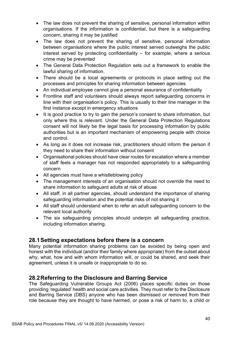- The law does not prevent the sharing of sensitive, personal information within organisations. If the information is confidential, but there is a safeguarding concern, sharing it may be justified
- The law does not prevent the sharing of sensitive, personal information between organisations where the public interest served outweighs the public interest served by protecting confidentiality – for example, where a serious crime may be prevented
- The General Data Protection Regulation sets out a framework to enable the lawful sharing of information.
- There should be a local agreements or protocols in place setting out the processes and principles for sharing information between agencies
- An individual employee cannot give a personal assurance of confidentiality
- Frontline staff and volunteers should always report safeguarding concerns in line with their organisation's policy. This is usually to their line manager in the first instance except in emergency situations
- It is good practice to try to gain the person's consent to share information, but only where this is relevant. Under the General Data Protection Regulations consent will not likely be the legal basis for processing information by public authorities but is an important mechanism of empowering people with choice and control.
- As long as it does not increase risk, practitioners should inform the person if they need to share their information without consent
- Organisational policies should have clear routes for escalation where a member of staff feels a manager has not responded appropriately to a safeguarding concern
- All agencies must have a whistleblowing policy
- The management interests of an organisation should not override the need to share information to safeguard adults at risk of abuse
- All staff, in all partner agencies, should understand the importance of sharing safeguarding information and the potential risks of not sharing it
- All staff should understand when to refer an adult safeguarding concern to the relevant local authority
- The six safeguarding principles should underpin all safeguarding practice, including information sharing.

# **28.1Setting expectations before there is a concern**

Many potential information sharing problems can be avoided by being open and honest with the individual (and/or their family where appropriate) from the outset about why, what, how and with whom information will, or could be shared, and seek their agreement, unless it is unsafe or inappropriate to do so.

# **28.2Referring to the Disclosure and Barring Service**

The Safeguarding Vulnerable Groups Act (2006) places specific duties on those providing 'regulated' health and social care activities. They must refer to the Disclosure and Barring Service (DBS) anyone who has been dismissed or removed from their role because they are thought to have harmed, or pose a risk of harm to, a child or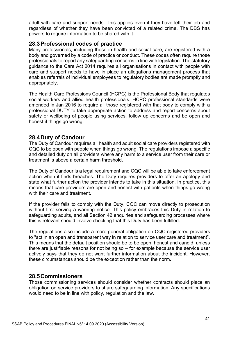adult with care and support needs. This applies even if they have left their job and regardless of whether they have been convicted of a related crime. The DBS has powers to require information to be shared with it.

### **28.3Professional codes of practice**

Many professionals, including those in health and social care, are registered with a body and governed by a code of practice or conduct. These codes often require those professionals to report any safeguarding concerns in line with legislation. The statutory guidance to the Care Act 2014 requires all organisations in contact with people with care and support needs to have in place an allegations management process that enables referrals of individual employees to regulatory bodies are made promptly and appropriately.

The Health Care Professions Council (HCPC) is the Professional Body that regulates social workers and allied health professionals. HCPC professional standards were amended in Jan 2016 to require all those registered with that body to comply with a professional DUTY to take appropriate action to address and report concerns about safety or wellbeing of people using services, follow up concerns and be open and honest if things go wrong.

# **28.4Duty of Candour**

The Duty of Candour requires all health and adult social care providers registered with CQC to be open with people when things go wrong. The regulations impose a specific and detailed duty on all providers where any harm to a service user from their care or treatment is above a certain harm threshold.

The Duty of Candour is a legal requirement and CQC will be able to take enforcement action when it finds breaches. The Duty requires providers to offer an apology and state what further action the provider intends to take in this situation. In practice, this means that care providers are open and honest with patients when things go wrong with their care and treatment.

If the provider fails to comply with the Duty, CQC can move directly to prosecution without first serving a warning notice. This policy embraces this Duty in relation to safeguarding adults, and all Section 42 enquiries and safeguarding processes where this is relevant should involve checking that this Duty has been fulfilled.

The regulations also include a more general obligation on CQC registered providers to "act in an open and transparent way in relation to service user care and treatment". This means that the default position should be to be open, honest and candid, unless there are justifiable reasons for not being so – for example because the service user actively says that they do not want further information about the incident. However, these circumstances should be the exception rather than the norm.

### **28.5Commissioners**

Those commissioning services should consider whether contracts should place an obligation on service providers to share safeguarding information. Any specifications would need to be in line with policy, regulation and the law.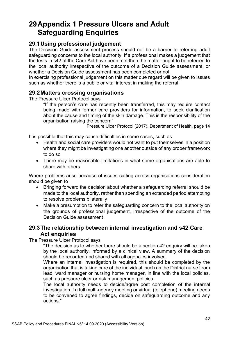# <span id="page-42-0"></span>**29Appendix 1 Pressure Ulcers and Adult Safeguarding Enquiries**

# **29.1Using professional judgement**

The Decision Guide assessment process should not be a barrier to referring adult safeguarding concerns to the local authority. If a professional makes a judgement that the tests in s42 of the Care Act have been met then the matter ought to be referred to the local authority irrespective of the outcome of a Decision Guide assessment, or whether a Decision Guide assessment has been completed or not.

In exercising professional judgement on this matter due regard will be given to issues such as whether there is a public or vital interest in making the referral.

# **29.2Matters crossing organisations**

The Pressure Ulcer Protocol says

"If the person's care has recently been transferred, this may require contact being made with former care providers for information, to seek clarification about the cause and timing of the skin damage. This is the responsibility of the organisation raising the concern"

Pressure Ulcer Protocol (2017), Department of Health, page 14

It is possible that this may cause difficulties in some cases, such as

- Health and social care providers would not want to put themselves in a position where they might be investigating one another outside of any proper framework to do so
- There may be reasonable limitations in what some organisations are able to share with others

Where problems arise because of issues cutting across organisations consideration should be given to

- Bringing forward the decision about whether a safeguarding referral should be made to the local authority, rather than spending an extended period attempting to resolve problems bilaterally
- Make a presumption to refer the safeguarding concern to the local authority on the grounds of professional judgement, irrespective of the outcome of the Decision Guide assessment

# **29.3The relationship between internal investigation and s42 Care Act enquiries**

The Pressure Ulcer Protocol says

"The decision as to whether there should be a section 42 enquiry will be taken by the local authority, informed by a clinical view. A summary of the decision should be recorded and shared with all agencies involved.

Where an internal investigation is required, this should be completed by the organisation that is taking care of the individual, such as the District nurse team lead, ward manager or nursing home manager, in line with the local policies, such as pressure ulcer or risk management policies.

The local authority needs to decide/agree post completion of the internal investigation if a full multi-agency meeting or virtual (telephone) meeting needs to be convened to agree findings, decide on safeguarding outcome and any actions."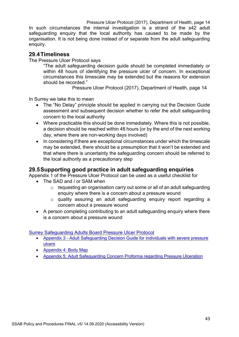Pressure Ulcer Protocol (2017), Department of Health, page 14 In such circumstances the internal investigation is a strand of the s42 adult safeguarding enquiry that the local authority has caused to be made by the organisation. It is not being done instead of or separate from the adult safeguarding enquiry.

# **29.4Timeliness**

The Pressure Ulcer Protocol says

"The adult safeguarding decision guide should be completed immediately or within 48 hours of identifying the pressure ulcer of concern. In exceptional circumstances this timescale may be extended but the reasons for extension should be recorded."

Pressure Ulcer Protocol (2017), Department of Health, page 14

In Surrey we take this to mean

- The "No Delay" principle should be applied in carrying out the Decision Guide assessment and subsequent decision whether to refer the adult safeguarding concern to the local authority
- Where practicable this should be done immediately. Where this is not possible, a decision should be reached within 48 hours (or by the end of the next working day, where there are non-working days involved)
- In considering if there are exceptional circumstances under which the timescale may be extended, there should be a presumption that it won't be extended and that where there is uncertainty the safeguarding concern should be referred to the local authority as a precautionary step

# **29.5Supporting good practice in adult safeguarding enquiries**

Appendix 1 of the Pressure Ulcer Protocol can be used as a useful checklist for

- The SAD and / or SAM when
	- $\circ$  requesting an organisation carry out some or all of an adult safeguarding enquiry where there is a concern about a pressure wound
	- o quality assuring an adult safeguarding enquiry report regarding a concern about a pressure wound
- A person completing contributing to an adult safeguarding enquiry where there is a concern about a pressure wound

[Surrey Safeguarding Adults Board Pressure Ulcer Protocol](https://www.surreysab.org.uk/wp-content/uploads/2019/12/Executive-summary_Surrey-Safeguarding-Adults-Protocol_Pressure-Ulcers-an...-1.pdf)

- Appendix 3 [Adult Safeguarding Decision Guide for individuals with severe pressure](https://www.surreysab.org.uk/wp-content/uploads/2021/02/Appendix-3.docx)  [ulcers](https://www.surreysab.org.uk/wp-content/uploads/2021/02/Appendix-3.docx)
- [Appendix 4: Body Map](https://www.surreysab.org.uk/wp-content/uploads/2021/02/Appendix-4-Body-Map.docx)
- [Appendix 5: Adult Safeguarding Concern Proforma regarding Pressure Ulceration](https://www.surreysab.org.uk/wp-content/uploads/2021/02/Appendix-5.docx)